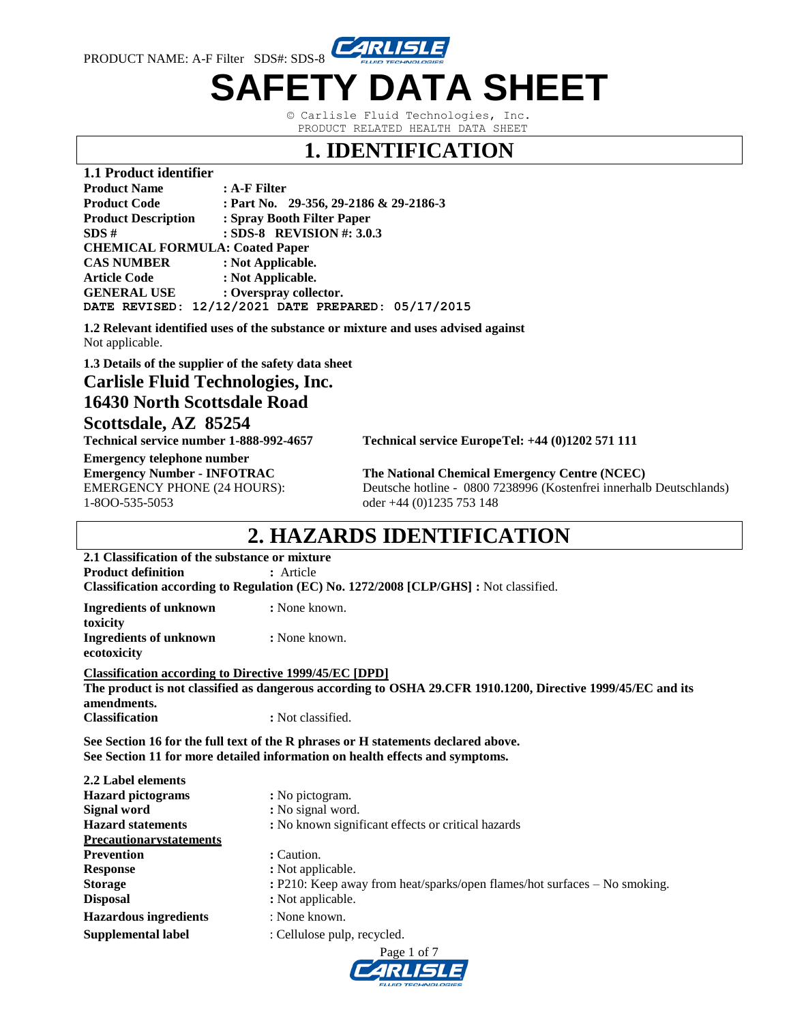

© Carlisle Fluid Technologies, Inc. PRODUCT RELATED HEALTH DATA SHEET

#### **1. IDENTIFICATION**

| 1.1 Product identifier                |                                        |  |  |  |  |  |
|---------------------------------------|----------------------------------------|--|--|--|--|--|
| <b>Product Name</b>                   | $: A-F$ Filter                         |  |  |  |  |  |
| <b>Product Code</b>                   | : Part No. 29-356, 29-2186 & 29-2186-3 |  |  |  |  |  |
| <b>Product Description</b>            | : Spray Booth Filter Paper             |  |  |  |  |  |
| : SDS-8 REVISION #: $3.0.3$<br>SDS#   |                                        |  |  |  |  |  |
| <b>CHEMICAL FORMULA: Coated Paper</b> |                                        |  |  |  |  |  |
| <b>CAS NUMBER</b>                     | : Not Applicable.                      |  |  |  |  |  |
| <b>Article Code</b>                   | : Not Applicable.                      |  |  |  |  |  |
| <b>GENERAL USE</b>                    | : Overspray collector.                 |  |  |  |  |  |
| DATE REVISED:                         | 12/12/2021 DATE PREPARED: 05/17/2015   |  |  |  |  |  |

**1.2 Relevant identified uses of the substance or mixture and uses advised against** Not applicable.

**1.3 Details of the supplier of the safety data sheet**

**Carlisle Fluid Technologies, Inc.**

**16430 North Scottsdale Road Scottsdale, AZ 85254** 

**Technical service number 1-888-992-4657 Technical service EuropeTel: +44 (0)1202 571 111** 

**Emergency telephone number** 1-8OO-535-5053 oder +44 (0)1235 753 148

**Emergency Number - INFOTRAC The National Chemical Emergency Centre (NCEC)** EMERGENCY PHONE (24 HOURS): Deutsche hotline - 0800 7238996 (Kostenfrei innerhalb Deutschlands)

#### **2. HAZARDS IDENTIFICATION**

**2.1 Classification of the substance or mixture Product definition : Article** 

**Classification according to Regulation (EC) No. 1272/2008 [CLP/GHS] :** Not classified.

**Ingredients of unknown :** None known. **toxicity Ingredients of unknown :** None known. **ecotoxicity**

**Classification according to Directive 1999/45/EC [DPD]**

**The product is not classified as dangerous according to OSHA 29.CFR 1910.1200, Directive 1999/45/EC and its amendments. Classification :** Not classified.

**See Section 16 for the full text of the R phrases or H statements declared above. See Section 11 for more detailed information on health effects and symptoms.**

| 2.2 Label elements             |                                                                           |  |  |  |  |
|--------------------------------|---------------------------------------------------------------------------|--|--|--|--|
| <b>Hazard</b> pictograms       | : No pictogram.                                                           |  |  |  |  |
| Signal word                    | : No signal word.                                                         |  |  |  |  |
| <b>Hazard statements</b>       | : No known significant effects or critical hazards                        |  |  |  |  |
| <b>Precautionarystatements</b> |                                                                           |  |  |  |  |
| <b>Prevention</b>              | : Caution.                                                                |  |  |  |  |
| <b>Response</b>                | : Not applicable.                                                         |  |  |  |  |
| <b>Storage</b>                 | : P210: Keep away from heat/sparks/open flames/hot surfaces – No smoking. |  |  |  |  |
| <b>Disposal</b>                | : Not applicable.                                                         |  |  |  |  |
| <b>Hazardous ingredients</b>   | : None known.                                                             |  |  |  |  |
| <b>Supplemental label</b>      | : Cellulose pulp, recycled.                                               |  |  |  |  |

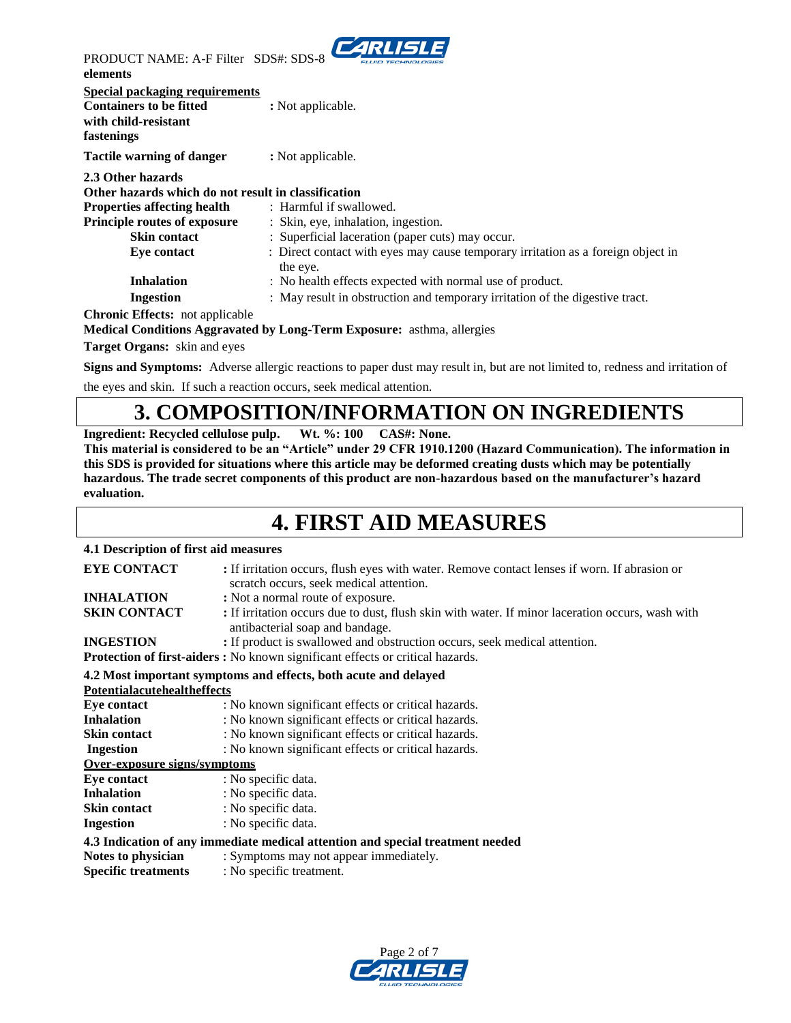

PRODUCT NAME: A-F Filter SDS#: SDS-8 **elements** 

| <b>Special packaging requirements</b><br><b>Containers to be fitted</b><br>with child-resistant<br>fastenings                                                                | : Not applicable.                                                                                                  |
|------------------------------------------------------------------------------------------------------------------------------------------------------------------------------|--------------------------------------------------------------------------------------------------------------------|
| Tactile warning of danger                                                                                                                                                    | : Not applicable.                                                                                                  |
| 2.3 Other hazards<br>Other hazards which do not result in classification<br><b>Properties affecting health</b><br><b>Principle routes of exposure</b><br><b>Skin contact</b> | : Harmful if swallowed.<br>: Skin, eye, inhalation, ingestion.<br>: Superficial laceration (paper cuts) may occur. |
| Eye contact                                                                                                                                                                  | : Direct contact with eyes may cause temporary irritation as a foreign object in<br>the eye.                       |
| <b>Inhalation</b>                                                                                                                                                            | : No health effects expected with normal use of product.                                                           |
| <b>Ingestion</b>                                                                                                                                                             | : May result in obstruction and temporary irritation of the digestive tract.                                       |
| <b>Chronic Effects:</b> not applicable                                                                                                                                       |                                                                                                                    |

**Medical Conditions Aggravated by Long-Term Exposure:** asthma, allergies

**Target Organs:** skin and eyes

**Signs and Symptoms:** Adverse allergic reactions to paper dust may result in, but are not limited to, redness and irritation of

the eyes and skin. If such a reaction occurs, seek medical attention.

### **3. COMPOSITION/INFORMATION ON INGREDIENTS**

**Ingredient: Recycled cellulose pulp. Wt. %: 100 CAS#: None.**

**This material is considered to be an "Article" under 29 CFR 1910.1200 (Hazard Communication). The information in this SDS is provided for situations where this article may be deformed creating dusts which may be potentially hazardous. The trade secret components of this product are non-hazardous based on the manufacturer's hazard evaluation.**

#### **4. FIRST AID MEASURES**

#### **4.1 Description of first aid measures**

| <b>EYE CONTACT</b>                  | : If irritation occurs, flush eyes with water. Remove contact lenses if worn. If abrasion or<br>scratch occurs, seek medical attention. |
|-------------------------------------|-----------------------------------------------------------------------------------------------------------------------------------------|
| <b>INHALATION</b>                   | : Not a normal route of exposure.                                                                                                       |
| <b>SKIN CONTACT</b>                 | : If irritation occurs due to dust, flush skin with water. If minor laceration occurs, wash with<br>antibacterial soap and bandage.     |
| <b>INGESTION</b>                    | : If product is swallowed and obstruction occurs, seek medical attention.                                                               |
|                                     | <b>Protection of first-aiders:</b> No known significant effects or critical hazards.                                                    |
|                                     | 4.2 Most important symptoms and effects, both acute and delayed                                                                         |
| <b>Potentialacutehealtheffects</b>  |                                                                                                                                         |
| Eve contact                         | : No known significant effects or critical hazards.                                                                                     |
| <b>Inhalation</b>                   | : No known significant effects or critical hazards.                                                                                     |
| <b>Skin contact</b>                 | : No known significant effects or critical hazards.                                                                                     |
| <b>Ingestion</b>                    | : No known significant effects or critical hazards.                                                                                     |
| <b>Over-exposure signs/symptoms</b> |                                                                                                                                         |
| Eye contact                         | : No specific data.                                                                                                                     |
| <b>Inhalation</b>                   | : No specific data.                                                                                                                     |
| <b>Skin contact</b>                 | : No specific data.                                                                                                                     |
| <b>Ingestion</b>                    | : No specific data.                                                                                                                     |
|                                     | 4.3 Indication of any immediate medical attention and special treatment needed                                                          |
| Notes to physician                  | : Symptoms may not appear immediately.                                                                                                  |
| <b>Specific treatments</b>          | : No specific treatment.                                                                                                                |

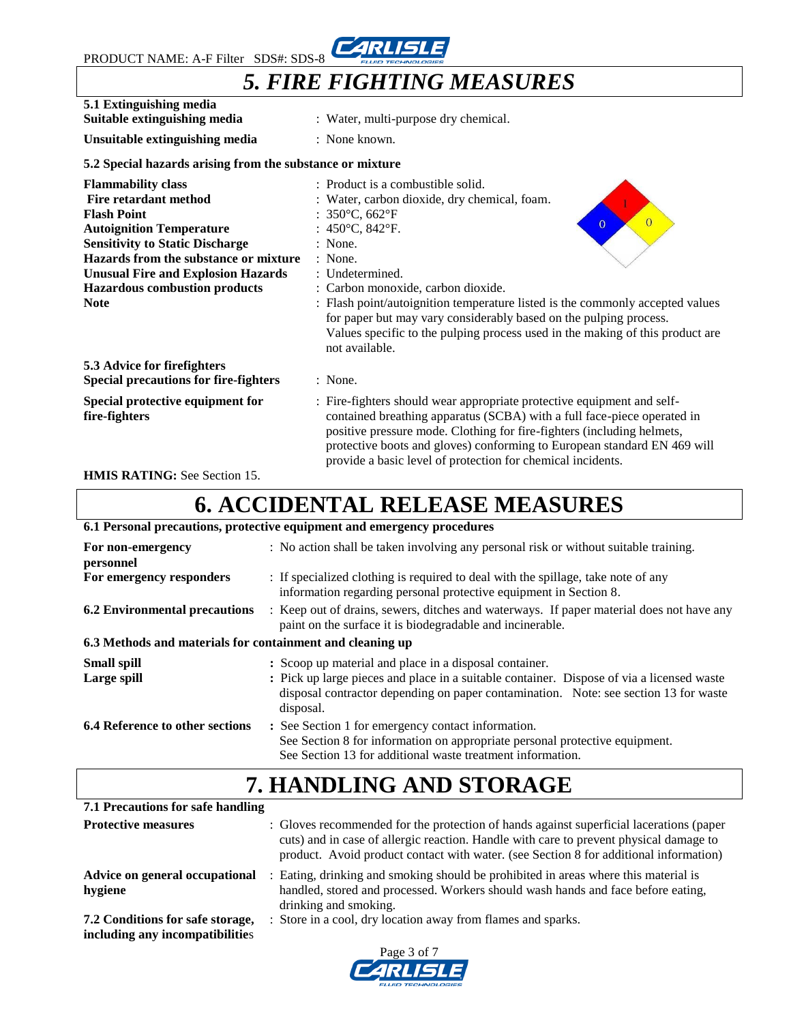PRODUCT NAME: A-F Filter SDS#: SDS-8



## *5. FIRE FIGHTING MEASURES*

| 5.1 Extinguishing media<br>Suitable extinguishing media                                                                                                                                                                                                                                                   | : Water, multi-purpose dry chemical.                                                                                                                                                                                                                                                                                                                                                                                                                                                                                       |  |  |  |
|-----------------------------------------------------------------------------------------------------------------------------------------------------------------------------------------------------------------------------------------------------------------------------------------------------------|----------------------------------------------------------------------------------------------------------------------------------------------------------------------------------------------------------------------------------------------------------------------------------------------------------------------------------------------------------------------------------------------------------------------------------------------------------------------------------------------------------------------------|--|--|--|
| Unsuitable extinguishing media                                                                                                                                                                                                                                                                            | : None known.                                                                                                                                                                                                                                                                                                                                                                                                                                                                                                              |  |  |  |
| 5.2 Special hazards arising from the substance or mixture                                                                                                                                                                                                                                                 |                                                                                                                                                                                                                                                                                                                                                                                                                                                                                                                            |  |  |  |
| <b>Flammability class</b><br><b>Fire retardant method</b><br><b>Flash Point</b><br><b>Autoignition Temperature</b><br><b>Sensitivity to Static Discharge</b><br>Hazards from the substance or mixture<br><b>Unusual Fire and Explosion Hazards</b><br><b>Hazardous combustion products</b><br><b>Note</b> | : Product is a combustible solid.<br>: Water, carbon dioxide, dry chemical, foam.<br>: $350^{\circ}$ C, $662^{\circ}$ F<br>$\overline{0}$<br>$\overline{0}$<br>: $450^{\circ}$ C, $842^{\circ}$ F.<br>$:$ None.<br>: None.<br>: Undetermined.<br>: Carbon monoxide, carbon dioxide.<br>: Flash point/autoignition temperature listed is the commonly accepted values<br>for paper but may vary considerably based on the pulping process.<br>Values specific to the pulping process used in the making of this product are |  |  |  |
| 5.3 Advice for firefighters<br><b>Special precautions for fire-fighters</b>                                                                                                                                                                                                                               | not available.<br>: None.                                                                                                                                                                                                                                                                                                                                                                                                                                                                                                  |  |  |  |
| Special protective equipment for<br>fire-fighters                                                                                                                                                                                                                                                         | : Fire-fighters should wear appropriate protective equipment and self-<br>contained breathing apparatus (SCBA) with a full face-piece operated in<br>positive pressure mode. Clothing for fire-fighters (including helmets,<br>protective boots and gloves) conforming to European standard EN 469 will<br>provide a basic level of protection for chemical incidents.                                                                                                                                                     |  |  |  |

**HMIS RATING:** See Section 15.

# **6. ACCIDENTAL RELEASE MEASURES**

**6.1 Personal precautions, protective equipment and emergency procedures**

| For non-emergency<br>personnel                            | : No action shall be taken involving any personal risk or without suitable training.                                                                                                                                                                     |  |  |  |  |
|-----------------------------------------------------------|----------------------------------------------------------------------------------------------------------------------------------------------------------------------------------------------------------------------------------------------------------|--|--|--|--|
| For emergency responders                                  | : If specialized clothing is required to deal with the spillage, take note of any<br>information regarding personal protective equipment in Section 8.                                                                                                   |  |  |  |  |
| <b>6.2 Environmental precautions</b>                      | : Keep out of drains, sewers, ditches and waterways. If paper material does not have any<br>paint on the surface it is biodegradable and incinerable.                                                                                                    |  |  |  |  |
| 6.3 Methods and materials for containment and cleaning up |                                                                                                                                                                                                                                                          |  |  |  |  |
| <b>Small spill</b><br>Large spill                         | : Scoop up material and place in a disposal container.<br>: Pick up large pieces and place in a suitable container. Dispose of via a licensed waste<br>disposal contractor depending on paper contamination. Note: see section 13 for waste<br>disposal. |  |  |  |  |
| <b>6.4 Reference to other sections</b>                    | : See Section 1 for emergency contact information.<br>See Section 8 for information on appropriate personal protective equipment.<br>See Section 13 for additional waste treatment information.                                                          |  |  |  |  |

## **7. HANDLING AND STORAGE**

**7.1 Precautions for safe handling Protective measures** : Gloves recommended for the protection of hands against superficial lacerations (paper cuts) and in case of allergic reaction. Handle with care to prevent physical damage to product. Avoid product contact with water. (see Section 8 for additional information) **Advice on general occupational** : Eating, drinking and smoking should be prohibited in areas where this material is **hygiene** handled, stored and processed. Workers should wash hands and face before eating, drinking and smoking. **7.2 Conditions for safe storage,** : Store in a cool, dry location away from flames and sparks. **including any incompatibilitie**s

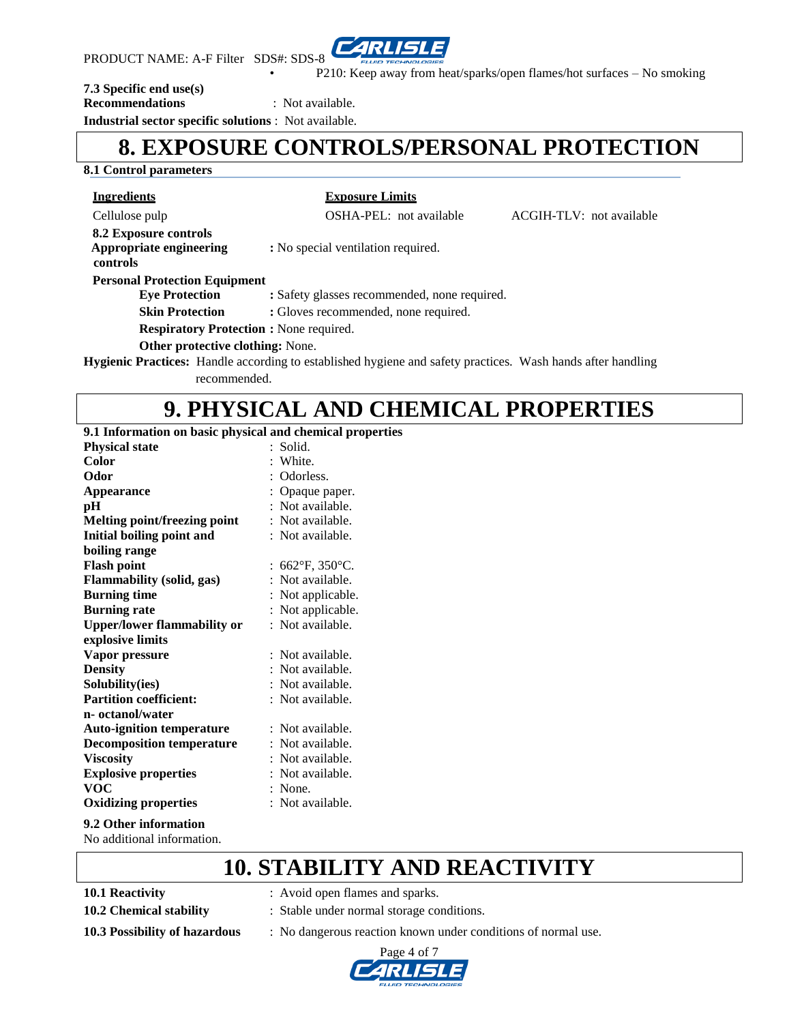

• P210: Keep away from heat/sparks/open flames/hot surfaces – No smoking

#### **7.3 Specific end use(s)**

**Recommendations** : Not available.

**Industrial sector specific solutions** : Not available.

#### **8. EXPOSURE CONTROLS/PERSONAL PROTECTION**

#### **8.1 Control parameters**

**Ingredients Exposure Limits**

Cellulose pulp OSHA-PEL: not available ACGIH-TLV: not available **8.2 Exposure controls Appropriate engineering :** No special ventilation required.  **controls Personal Protection Equipment Eye Protection : Safety glasses recommended, none required. Skin Protection : Gloves recommended, none required. Respiratory Protection :** None required. **Other protective clothing:** None. **Hygienic Practices:** Handle according to established hygiene and safety practices. Wash hands after handling recommended.

### **9. PHYSICAL AND CHEMICAL PROPERTIES**

**9.1 Information on basic physical and chemical properties**

| <b>Physical state</b>               |    | Solid.            |
|-------------------------------------|----|-------------------|
| Color                               |    | : White.          |
| Odor                                |    | : Odorless.       |
| <b>Appearance</b>                   |    | Opaque paper.     |
| рH                                  |    | : Not available.  |
| <b>Melting point/freezing point</b> |    | : Not available.  |
| <b>Initial boiling point and</b>    |    | : Not available.  |
| boiling range                       |    |                   |
| <b>Flash point</b>                  |    | : 662°F, 350°C.   |
| <b>Flammability (solid, gas)</b>    |    | : Not available.  |
| <b>Burning time</b>                 |    | : Not applicable. |
| <b>Burning rate</b>                 | t. | Not applicable.   |
| <b>Upper/lower flammability or</b>  |    | : Not available.  |
| explosive limits                    |    |                   |
| Vapor pressure                      |    | : Not available.  |
| <b>Density</b>                      |    | : Not available.  |
| Solubility(ies)                     |    | : Not available.  |
| <b>Partition coefficient:</b>       |    | : Not available.  |
| n- octanol/water                    |    |                   |
| <b>Auto-ignition temperature</b>    |    | : Not available.  |
| <b>Decomposition temperature</b>    |    | Not available.    |
| <b>Viscosity</b>                    |    | : Not available.  |
| <b>Explosive properties</b>         |    | : Not available.  |
| voc                                 |    | $:$ None.         |
| <b>Oxidizing properties</b>         |    | : Not available.  |
| 9.2 Other information               |    |                   |

No additional information.

#### **10. STABILITY AND REACTIVITY**

- 
- **10.1 Reactivity** : Avoid open flames and sparks.
- **10.2 Chemical stability** : Stable under normal storage conditions.
- **10.3 Possibility of hazardous** : No dangerous reaction known under conditions of normal use.

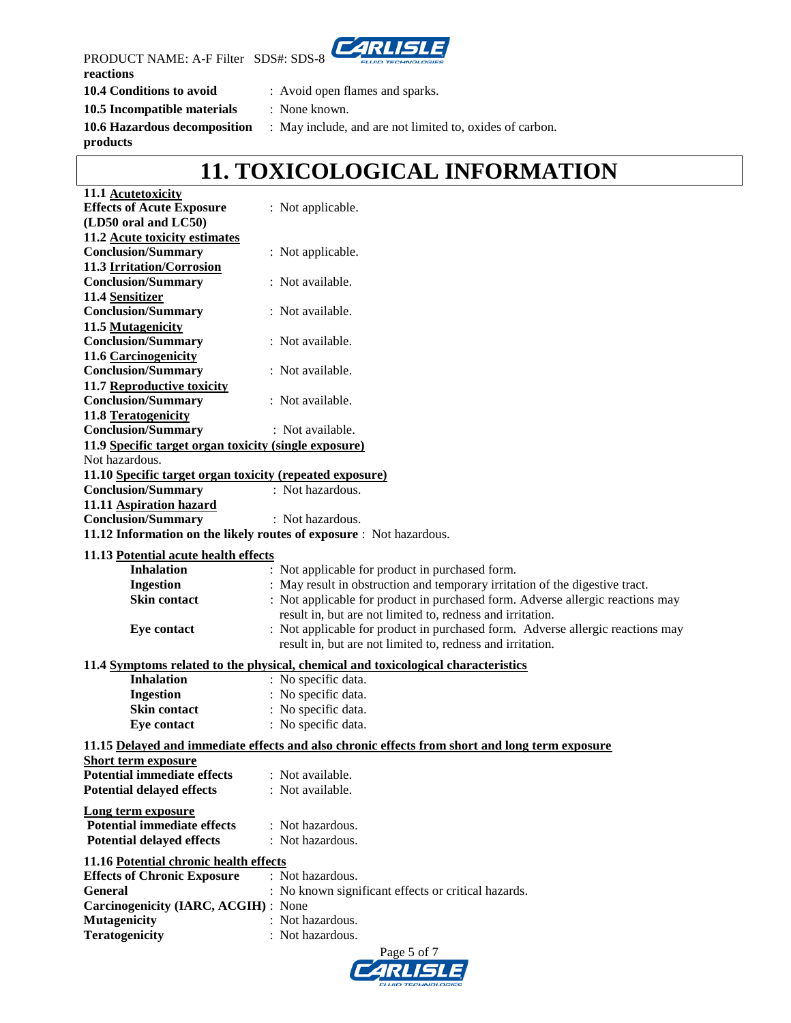

PRODUCT NAME: A-F Filter SDS#: SDS-8 **reactions**

**10.4 Conditions to avoid** : Avoid open flames and sparks.

- 
- **10.5 Incompatible materials** : None known.
	-

**products**

**10.6 Hazardous decomposition** : May include, and are not limited to, oxides of carbon.

## **11. TOXICOLOGICAL INFORMATION**

| 11.1 Acutetoxicity                                       |                                                                                                |
|----------------------------------------------------------|------------------------------------------------------------------------------------------------|
| <b>Effects of Acute Exposure</b>                         | : Not applicable.                                                                              |
| (LD50 oral and LC50)                                     |                                                                                                |
| 11.2 Acute toxicity estimates                            |                                                                                                |
| <b>Conclusion/Summary</b>                                | : Not applicable.                                                                              |
| 11.3 Irritation/Corrosion                                |                                                                                                |
| <b>Conclusion/Summary</b>                                | : Not available.                                                                               |
| 11.4 Sensitizer                                          |                                                                                                |
| <b>Conclusion/Summary</b>                                | : Not available.                                                                               |
| 11.5 Mutagenicity                                        |                                                                                                |
| <b>Conclusion/Summary</b>                                | : Not available.                                                                               |
| 11.6 Carcinogenicity                                     |                                                                                                |
| <b>Conclusion/Summary</b>                                | : Not available.                                                                               |
| 11.7 Reproductive toxicity                               |                                                                                                |
| <b>Conclusion/Summary</b>                                | : Not available.                                                                               |
|                                                          |                                                                                                |
| 11.8 Teratogenicity                                      |                                                                                                |
| <b>Conclusion/Summary</b>                                | : Not available.                                                                               |
| 11.9 Specific target organ toxicity (single exposure)    |                                                                                                |
| Not hazardous.                                           |                                                                                                |
| 11.10 Specific target organ toxicity (repeated exposure) |                                                                                                |
| <b>Conclusion/Summary</b>                                | : Not hazardous.                                                                               |
| 11.11 Aspiration hazard                                  |                                                                                                |
| <b>Conclusion/Summary</b>                                | : Not hazardous.                                                                               |
|                                                          | 11.12 Information on the likely routes of exposure : Not hazardous.                            |
| 11.13 Potential acute health effects                     |                                                                                                |
| <b>Inhalation</b>                                        | : Not applicable for product in purchased form.                                                |
| <b>Ingestion</b>                                         | : May result in obstruction and temporary irritation of the digestive tract.                   |
| <b>Skin contact</b>                                      | : Not applicable for product in purchased form. Adverse allergic reactions may                 |
|                                                          | result in, but are not limited to, redness and irritation.                                     |
|                                                          | : Not applicable for product in purchased form. Adverse allergic reactions may                 |
| <b>Eye contact</b>                                       | result in, but are not limited to, redness and irritation.                                     |
|                                                          |                                                                                                |
|                                                          | 11.4 Symptoms related to the physical, chemical and toxicological characteristics              |
| <b>Inhalation</b>                                        | : No specific data.                                                                            |
| <b>Ingestion</b>                                         | : No specific data.                                                                            |
| <b>Skin contact</b>                                      | : No specific data.                                                                            |
| <b>Eye contact</b>                                       | : No specific data.                                                                            |
|                                                          | 11.15 Delayed and immediate effects and also chronic effects from short and long term exposure |
| Short term exposure                                      |                                                                                                |
| <b>Potential immediate effects</b>                       | : Not available.                                                                               |
| <b>Potential delayed effects</b>                         | : Not available.                                                                               |
|                                                          |                                                                                                |
| <b>Long term exposure</b>                                |                                                                                                |
| <b>Potential immediate effects</b>                       | : Not hazardous.                                                                               |
| <b>Potential delayed effects</b>                         | : Not hazardous.                                                                               |
| 11.16 Potential chronic health effects                   |                                                                                                |
| <b>Effects of Chronic Exposure</b>                       | : Not hazardous.                                                                               |
| <b>General</b>                                           | : No known significant effects or critical hazards.                                            |
|                                                          |                                                                                                |
| Carcinogenicity (IARC, ACGIH) : None                     | : Not hazardous.                                                                               |
| <b>Mutagenicity</b>                                      |                                                                                                |
| <b>Teratogenicity</b>                                    | : Not hazardous.                                                                               |
|                                                          | P <sub>309</sub> 5 of 7                                                                        |

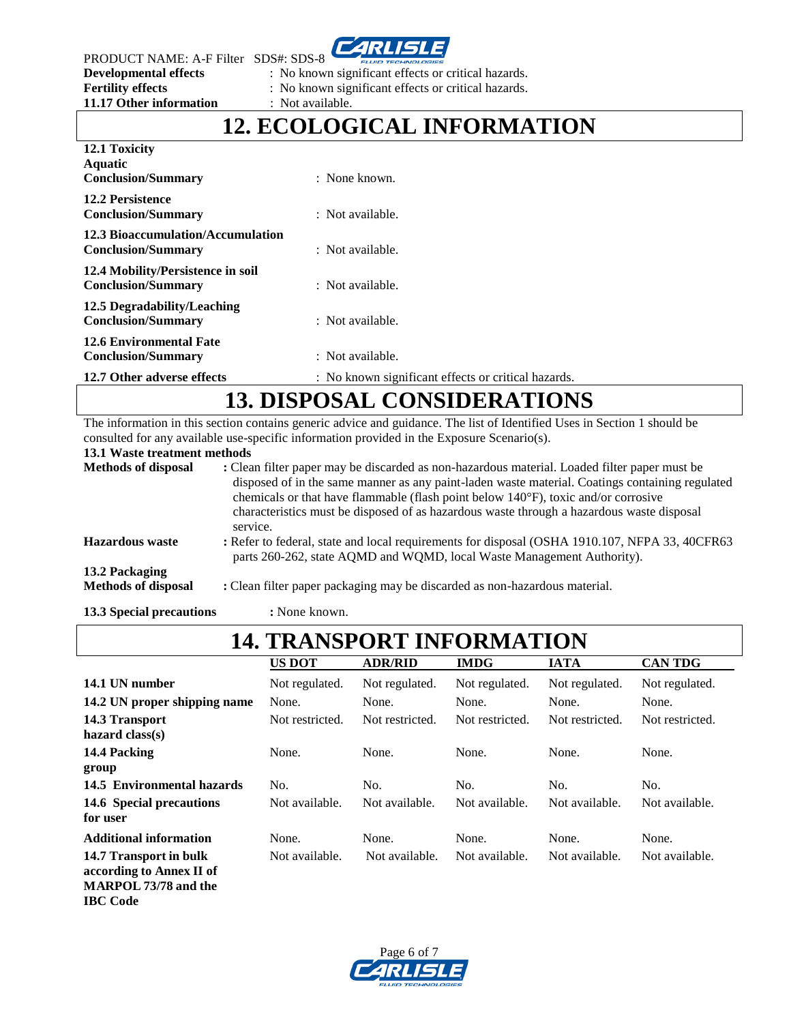ZRI SI

PRODUCT NAME: A-F Filter SDS#: SDS-8<br>Developmental effects : No know **11.17 Other information** : Not available.

: No known significant effects or critical hazards.

**Fertility effects** : No known significant effects or critical hazards.

## **12. ECOLOGICAL INFORMATION**

| 12.1 Toxicity<br>Aquatic<br><b>Conclusion/Summary</b>          | $:$ None known.                                     |
|----------------------------------------------------------------|-----------------------------------------------------|
| <b>12.2 Persistence</b><br><b>Conclusion/Summary</b>           | : Not available.                                    |
| 12.3 Bioaccumulation/Accumulation<br><b>Conclusion/Summary</b> | : Not available.                                    |
| 12.4 Mobility/Persistence in soil<br><b>Conclusion/Summary</b> | : Not available.                                    |
| 12.5 Degradability/Leaching<br><b>Conclusion/Summary</b>       | : Not available.                                    |
| <b>12.6 Environmental Fate</b><br><b>Conclusion/Summary</b>    | : Not available.                                    |
| 12.7 Other adverse effects                                     | : No known significant effects or critical hazards. |

# **13. DISPOSAL CONSIDERATIONS**

The information in this section contains generic advice and guidance. The list of Identified Uses in Section 1 should be consulted for any available use-specific information provided in the Exposure Scenario(s).

**13.1 Waste treatment methods**

| <b>Methods of disposal</b>                   | : Clean filter paper may be discarded as non-hazardous material. Loaded filter paper must be<br>disposed of in the same manner as any paint-laden waste material. Coatings containing regulated<br>chemicals or that have flammable (flash point below $140^{\circ}$ F), toxic and/or corrosive<br>characteristics must be disposed of as hazardous waste through a hazardous waste disposal<br>service. |
|----------------------------------------------|----------------------------------------------------------------------------------------------------------------------------------------------------------------------------------------------------------------------------------------------------------------------------------------------------------------------------------------------------------------------------------------------------------|
| <b>Hazardous</b> waste                       | : Refer to federal, state and local requirements for disposal (OSHA 1910.107, NFPA 33, 40CFR63)<br>parts 260-262, state AQMD and WQMD, local Waste Management Authority).                                                                                                                                                                                                                                |
| 13.2 Packaging<br><b>Methods of disposal</b> | : Clean filter paper packaging may be discarded as non-hazardous material.                                                                                                                                                                                                                                                                                                                               |
| 13.3 Special precautions                     | : None known.                                                                                                                                                                                                                                                                                                                                                                                            |

## **14. TRANSPORT INFORMATION**

|                               | <b>US DOT</b>   | <b>ADR/RID</b>  | <b>IMDG</b>     | <b>IATA</b>     | <b>CAN TDG</b>  |
|-------------------------------|-----------------|-----------------|-----------------|-----------------|-----------------|
| 14.1 UN number                | Not regulated.  | Not regulated.  | Not regulated.  | Not regulated.  | Not regulated.  |
| 14.2 UN proper shipping name  | None.           | None.           | None.           | None.           | None.           |
| 14.3 Transport                | Not restricted. | Not restricted. | Not restricted. | Not restricted. | Not restricted. |
| hazard $class(s)$             |                 |                 |                 |                 |                 |
| 14.4 Packing                  | None.           | None.           | None.           | None.           | None.           |
| group                         |                 |                 |                 |                 |                 |
| 14.5 Environmental hazards    | No.             | No.             | No.             | No.             | No.             |
| 14.6 Special precautions      | Not available.  | Not available.  | Not available.  | Not available.  | Not available.  |
| for user                      |                 |                 |                 |                 |                 |
| <b>Additional information</b> | None.           | None.           | None.           | None.           | None.           |
| 14.7 Transport in bulk        | Not available.  | Not available.  | Not available.  | Not available.  | Not available.  |
| according to Annex II of      |                 |                 |                 |                 |                 |
| <b>MARPOL 73/78 and the</b>   |                 |                 |                 |                 |                 |

**IBC Code**